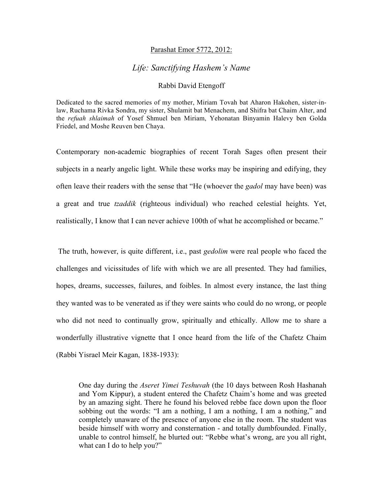## Parashat Emor 5772, 2012:

## *Life: Sanctifying Hashem's Name*

## Rabbi David Etengoff

Dedicated to the sacred memories of my mother, Miriam Tovah bat Aharon Hakohen, sister-inlaw, Ruchama Rivka Sondra, my sister, Shulamit bat Menachem, and Shifra bat Chaim Alter, and the *refuah shlaimah* of Yosef Shmuel ben Miriam, Yehonatan Binyamin Halevy ben Golda Friedel, and Moshe Reuven ben Chaya.

Contemporary non-academic biographies of recent Torah Sages often present their subjects in a nearly angelic light. While these works may be inspiring and edifying, they often leave their readers with the sense that "He (whoever the *gadol* may have been) was a great and true *tzaddik* (righteous individual) who reached celestial heights. Yet, realistically, I know that I can never achieve 100th of what he accomplished or became."

The truth, however, is quite different, i.e., past *gedolim* were real people who faced the challenges and vicissitudes of life with which we are all presented. They had families, hopes, dreams, successes, failures, and foibles. In almost every instance, the last thing they wanted was to be venerated as if they were saints who could do no wrong, or people who did not need to continually grow, spiritually and ethically. Allow me to share a wonderfully illustrative vignette that I once heard from the life of the Chafetz Chaim (Rabbi Yisrael Meir Kagan, 1838-1933):

One day during the *Aseret Yimei Teshuvah* (the 10 days between Rosh Hashanah and Yom Kippur), a student entered the Chafetz Chaim's home and was greeted by an amazing sight. There he found his beloved rebbe face down upon the floor sobbing out the words: "I am a nothing, I am a nothing, I am a nothing," and completely unaware of the presence of anyone else in the room. The student was beside himself with worry and consternation - and totally dumbfounded. Finally, unable to control himself, he blurted out: "Rebbe what's wrong, are you all right, what can I do to help you?"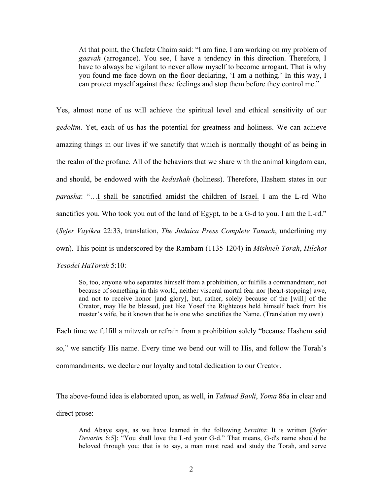At that point, the Chafetz Chaim said: "I am fine, I am working on my problem of *gaavah* (arrogance). You see, I have a tendency in this direction. Therefore, I have to always be vigilant to never allow myself to become arrogant. That is why you found me face down on the floor declaring, 'I am a nothing.' In this way, I can protect myself against these feelings and stop them before they control me."

Yes, almost none of us will achieve the spiritual level and ethical sensitivity of our *gedolim*. Yet, each of us has the potential for greatness and holiness. We can achieve amazing things in our lives if we sanctify that which is normally thought of as being in the realm of the profane. All of the behaviors that we share with the animal kingdom can, and should, be endowed with the *kedushah* (holiness). Therefore, Hashem states in our *parasha*: "…I shall be sanctified amidst the children of Israel. I am the L-rd Who sanctifies you. Who took you out of the land of Egypt, to be a G-d to you. I am the L-rd." (*Sefer Vayikra* 22:33, translation, *The Judaica Press Complete Tanach*, underlining my own). This point is underscored by the Rambam (1135-1204) in *Mishneh Torah*, *Hilchot Yesodei HaTorah* 5:10:

So, too, anyone who separates himself from a prohibition, or fulfills a commandment, not because of something in this world, neither visceral mortal fear nor [heart-stopping] awe, and not to receive honor [and glory], but, rather, solely because of the [will] of the Creator, may He be blessed, just like Yosef the Righteous held himself back from his master's wife, be it known that he is one who sanctifies the Name. (Translation my own)

Each time we fulfill a mitzvah or refrain from a prohibition solely "because Hashem said so," we sanctify His name. Every time we bend our will to His, and follow the Torah's commandments, we declare our loyalty and total dedication to our Creator.

The above-found idea is elaborated upon, as well, in *Talmud Bavli*, *Yoma* 86a in clear and direct prose:

And Abaye says, as we have learned in the following *beraitta*: It is written [*Sefer Devarim* 6:5]: "You shall love the L-rd your G-d." That means, G-d's name should be beloved through you; that is to say, a man must read and study the Torah, and serve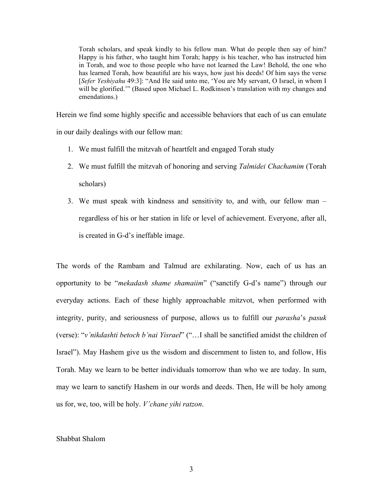Torah scholars, and speak kindly to his fellow man. What do people then say of him? Happy is his father, who taught him Torah; happy is his teacher, who has instructed him in Torah, and woe to those people who have not learned the Law! Behold, the one who has learned Torah, how beautiful are his ways, how just his deeds! Of him says the verse [*Sefer Yeshiyahu* 49:3]: "And He said unto me, 'You are My servant, O Israel, in whom I will be glorified.'" (Based upon Michael L. Rodkinson's translation with my changes and emendations.)

Herein we find some highly specific and accessible behaviors that each of us can emulate in our daily dealings with our fellow man:

- 1. We must fulfill the mitzvah of heartfelt and engaged Torah study
- 2. We must fulfill the mitzvah of honoring and serving *Talmidei Chachamim* (Torah scholars)
- 3. We must speak with kindness and sensitivity to, and with, our fellow man regardless of his or her station in life or level of achievement. Everyone, after all, is created in G-d's ineffable image.

The words of the Rambam and Talmud are exhilarating. Now, each of us has an opportunity to be "*mekadash shame shamaiim*" ("sanctify G-d's name") through our everyday actions. Each of these highly approachable mitzvot, when performed with integrity, purity, and seriousness of purpose, allows us to fulfill our *parasha*'s *pasuk* (verse): "*v'nikdashti betoch b'nai Yisrael*" ("…I shall be sanctified amidst the children of Israel"). May Hashem give us the wisdom and discernment to listen to, and follow, His Torah. May we learn to be better individuals tomorrow than who we are today. In sum, may we learn to sanctify Hashem in our words and deeds. Then, He will be holy among us for, we, too, will be holy. *V'chane yihi ratzon*.

## Shabbat Shalom